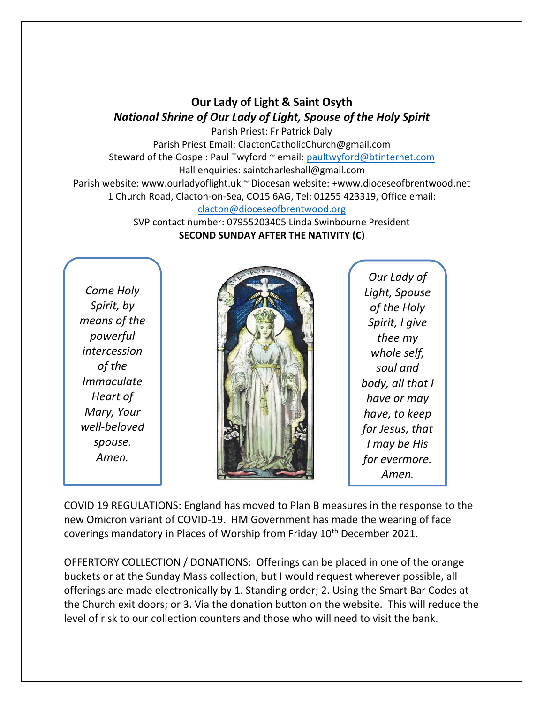## **Our Lady of Light & Saint Osyth** *National Shrine of Our Lady of Light, Spouse of the Holy Spirit*

Parish Priest: Fr Patrick Daly Parish Priest Email: ClactonCatholicChurch@gmail.com Steward of the Gospel: Paul Twyford ~ email: [paultwyford@btinternet.com](mailto:paultwyford@btinternet.com) Hall enquiries: saintcharleshall@gmail.com Parish website: www.ourladyoflight.uk ~ Diocesan website: +www.dioceseofbrentwood.net 1 Church Road, Clacton-on-Sea, CO15 6AG, Tel: 01255 423319, Office email: [clacton@dioceseofbrentwood.org](mailto:clacton@dioceseofbrentwood.org)

SVP contact number: 07955203405 Linda Swinbourne President **SECOND SUNDAY AFTER THE NATIVITY (C)**

*Come Holy Spirit, by means of the powerful intercession of the Immaculate Heart of Mary, Your well-beloved spouse. Amen.*



*Our Lady of Light, Spouse of the Holy Spirit, I give thee my whole self, soul and body, all that I have or may have, to keep for Jesus, that I may be His for evermore. Amen.*

COVID 19 REGULATIONS: England has moved to Plan B measures in the response to the new Omicron variant of COVID-19. HM Government has made the wearing of face coverings mandatory in Places of Worship from Friday 10<sup>th</sup> December 2021.

OFFERTORY COLLECTION / DONATIONS: Offerings can be placed in one of the orange buckets or at the Sunday Mass collection, but I would request wherever possible, all offerings are made electronically by 1. Standing order; 2. Using the Smart Bar Codes at the Church exit doors; or 3. Via the donation button on the website. This will reduce the level of risk to our collection counters and those who will need to visit the bank.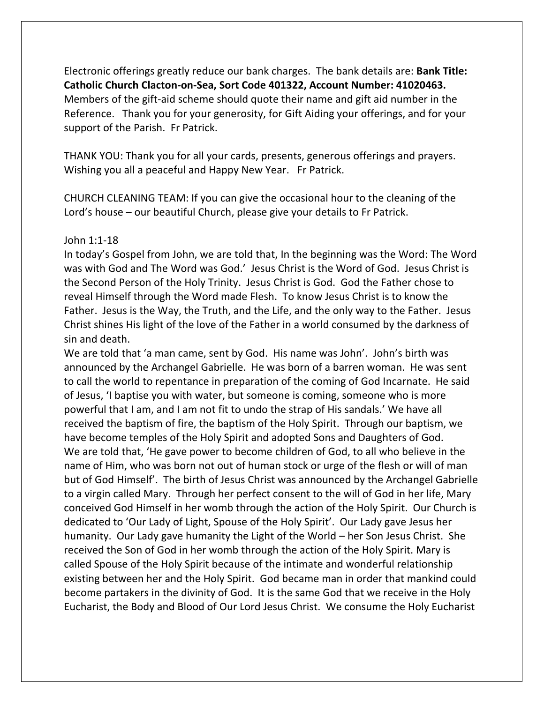Electronic offerings greatly reduce our bank charges. The bank details are: **Bank Title: Catholic Church Clacton-on-Sea, Sort Code 401322, Account Number: 41020463.** Members of the gift-aid scheme should quote their name and gift aid number in the Reference. Thank you for your generosity, for Gift Aiding your offerings, and for your support of the Parish. Fr Patrick.

THANK YOU: Thank you for all your cards, presents, generous offerings and prayers. Wishing you all a peaceful and Happy New Year. Fr Patrick.

CHURCH CLEANING TEAM: If you can give the occasional hour to the cleaning of the Lord's house – our beautiful Church, please give your details to Fr Patrick.

## John 1:1-18

In today's Gospel from John, we are told that, In the beginning was the Word: The Word was with God and The Word was God.' Jesus Christ is the Word of God. Jesus Christ is the Second Person of the Holy Trinity. Jesus Christ is God. God the Father chose to reveal Himself through the Word made Flesh. To know Jesus Christ is to know the Father. Jesus is the Way, the Truth, and the Life, and the only way to the Father. Jesus Christ shines His light of the love of the Father in a world consumed by the darkness of sin and death.

We are told that 'a man came, sent by God. His name was John'. John's birth was announced by the Archangel Gabrielle. He was born of a barren woman. He was sent to call the world to repentance in preparation of the coming of God Incarnate. He said of Jesus, 'I baptise you with water, but someone is coming, someone who is more powerful that I am, and I am not fit to undo the strap of His sandals.' We have all received the baptism of fire, the baptism of the Holy Spirit. Through our baptism, we have become temples of the Holy Spirit and adopted Sons and Daughters of God. We are told that, 'He gave power to become children of God, to all who believe in the name of Him, who was born not out of human stock or urge of the flesh or will of man but of God Himself'. The birth of Jesus Christ was announced by the Archangel Gabrielle to a virgin called Mary. Through her perfect consent to the will of God in her life, Mary conceived God Himself in her womb through the action of the Holy Spirit. Our Church is dedicated to 'Our Lady of Light, Spouse of the Holy Spirit'. Our Lady gave Jesus her humanity. Our Lady gave humanity the Light of the World – her Son Jesus Christ. She received the Son of God in her womb through the action of the Holy Spirit. Mary is called Spouse of the Holy Spirit because of the intimate and wonderful relationship existing between her and the Holy Spirit. God became man in order that mankind could become partakers in the divinity of God. It is the same God that we receive in the Holy Eucharist, the Body and Blood of Our Lord Jesus Christ. We consume the Holy Eucharist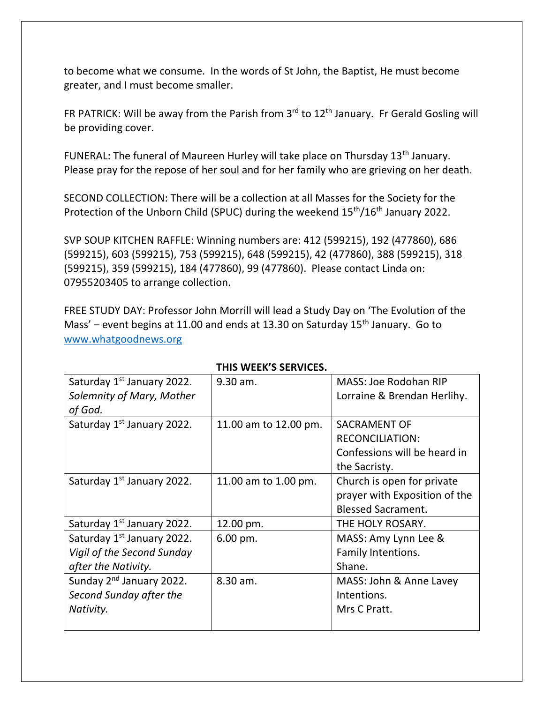to become what we consume. In the words of St John, the Baptist, He must become greater, and I must become smaller.

FR PATRICK: Will be away from the Parish from  $3^{rd}$  to  $12^{th}$  January. Fr Gerald Gosling will be providing cover.

FUNERAL: The funeral of Maureen Hurley will take place on Thursday 13<sup>th</sup> January. Please pray for the repose of her soul and for her family who are grieving on her death.

SECOND COLLECTION: There will be a collection at all Masses for the Society for the Protection of the Unborn Child (SPUC) during the weekend 15<sup>th</sup>/16<sup>th</sup> January 2022.

SVP SOUP KITCHEN RAFFLE: Winning numbers are: 412 (599215), 192 (477860), 686 (599215), 603 (599215), 753 (599215), 648 (599215), 42 (477860), 388 (599215), 318 (599215), 359 (599215), 184 (477860), 99 (477860). Please contact Linda on: 07955203405 to arrange collection.

FREE STUDY DAY: Professor John Morrill will lead a Study Day on 'The Evolution of the Mass' – event begins at 11.00 and ends at 13.30 on Saturday  $15<sup>th</sup>$  January. Go to [www.whatgoodnews.org](http://www.whatgoodnews.org/)

| Saturday 1 <sup>st</sup> January 2022.<br>Solemnity of Mary, Mother<br>of God.              | 9.30 am.               | MASS: Joe Rodohan RIP<br>Lorraine & Brendan Herlihy.                                           |
|---------------------------------------------------------------------------------------------|------------------------|------------------------------------------------------------------------------------------------|
| Saturday 1st January 2022.                                                                  | 11.00 am to 12.00 pm.  | <b>SACRAMENT OF</b><br><b>RECONCILIATION:</b><br>Confessions will be heard in<br>the Sacristy. |
| Saturday 1 <sup>st</sup> January 2022.                                                      | 11.00 am to 1.00 pm.   | Church is open for private<br>prayer with Exposition of the<br><b>Blessed Sacrament.</b>       |
| Saturday 1 <sup>st</sup> January 2022.                                                      | 12.00 pm.              | THE HOLY ROSARY.                                                                               |
| Saturday 1 <sup>st</sup> January 2022.<br>Vigil of the Second Sunday<br>after the Nativity. | $6.00 \,\mathrm{pm}$ . | MASS: Amy Lynn Lee &<br>Family Intentions.<br>Shane.                                           |
| Sunday 2 <sup>nd</sup> January 2022.<br>Second Sunday after the<br>Nativity.                | 8.30 am.               | MASS: John & Anne Lavey<br>Intentions.<br>Mrs C Pratt.                                         |

## **THIS WEEK'S SERVICES.**